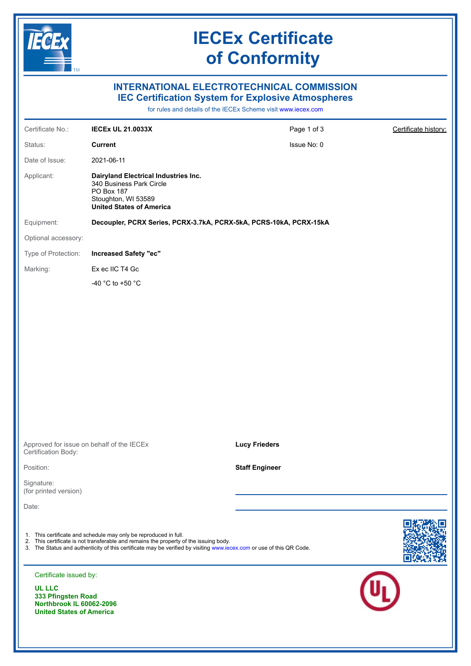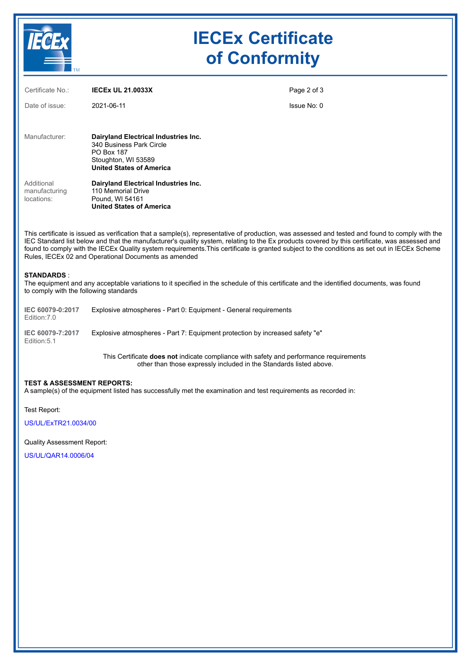

## **IECEx Certificate of Conformity**

| Certificate No.:                          | <b>IECEX UL 21.0033X</b>                                                                                                                 | Page 2 of 3 |
|-------------------------------------------|------------------------------------------------------------------------------------------------------------------------------------------|-------------|
| Date of issue:                            | 2021-06-11                                                                                                                               | Issue No: 0 |
|                                           |                                                                                                                                          |             |
| Manufacturer:                             | Dairyland Electrical Industries Inc.<br>340 Business Park Circle<br>PO Box 187<br>Stoughton, WI 53589<br><b>United States of America</b> |             |
| Additional<br>manufacturing<br>locations: | Dairyland Electrical Industries Inc.<br>110 Memorial Drive<br>Pound, WI 54161<br><b>United States of America</b>                         |             |

This certificate is issued as verification that a sample(s), representative of production, was assessed and tested and found to comply with the IEC Standard list below and that the manufacturer's quality system, relating to the Ex products covered by this certificate, was assessed and found to comply with the IECEx Quality system requirements.This certificate is granted subject to the conditions as set out in IECEx Scheme Rules, IECEx 02 and Operational Documents as amended

#### **STANDARDS** :

The equipment and any acceptable variations to it specified in the schedule of this certificate and the identified documents, was found to comply with the following standards

| IEC 60079-0:2017<br>Edition: 7.0 | Explosive atmospheres - Part 0: Equipment - General requirements             |
|----------------------------------|------------------------------------------------------------------------------|
| IEC 60079-7:2017<br>Edition: 5.1 | Explosive atmospheres - Part 7: Equipment protection by increased safety "e" |

This Certificate **does not** indicate compliance with safety and performance requirements other than those expressly included in the Standards listed above.

#### **TEST & ASSESSMENT REPORTS:**

A sample(s) of the equipment listed has successfully met the examination and test requirements as recorded in:

Test Report:

[US/UL/ExTR21.0034/00](https://www.iecex-certs.com/deliverables/REPORT/72066/view)

### Quality Assessment Report:

[US/UL/QAR14.0006/04](https://www.iecex-certs.com/deliverables/REPORT/61917/view)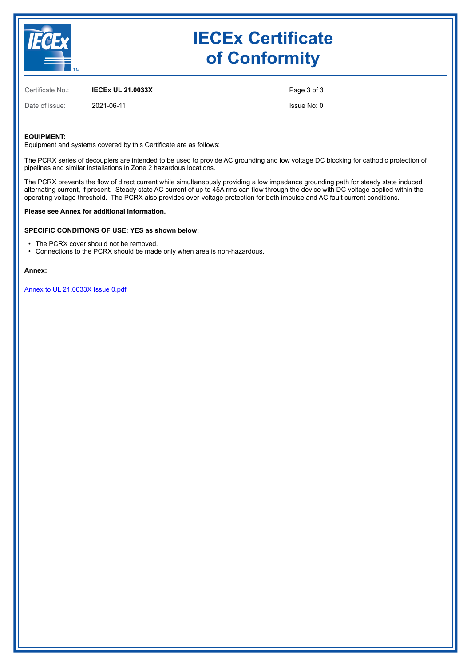

## **IECEx Certificate of Conformity**

Certificate No.: **IECEx UL 21.0033X**

Date of issue: 2021-06-11

Page 3 of 3

Issue No: 0

#### **EQUIPMENT:**

Equipment and systems covered by this Certificate are as follows:

The PCRX series of decouplers are intended to be used to provide AC grounding and low voltage DC blocking for cathodic protection of pipelines and similar installations in Zone 2 hazardous locations.

The PCRX prevents the flow of direct current while simultaneously providing a low impedance grounding path for steady state induced alternating current, if present. Steady state AC current of up to 45A rms can flow through the device with DC voltage applied within the operating voltage threshold. The PCRX also provides over-voltage protection for both impulse and AC fault current conditions.

#### **Please see Annex for additional information.**

#### **SPECIFIC CONDITIONS OF USE: YES as shown below:**

- The PCRX cover should not be removed.
- Connections to the PCRX should be made only when area is non-hazardous.

#### **Annex:**

[Annex to UL 21.0033X Issue 0.pdf](https://www.iecex-certs.com/deliverables/CERT/53000/view)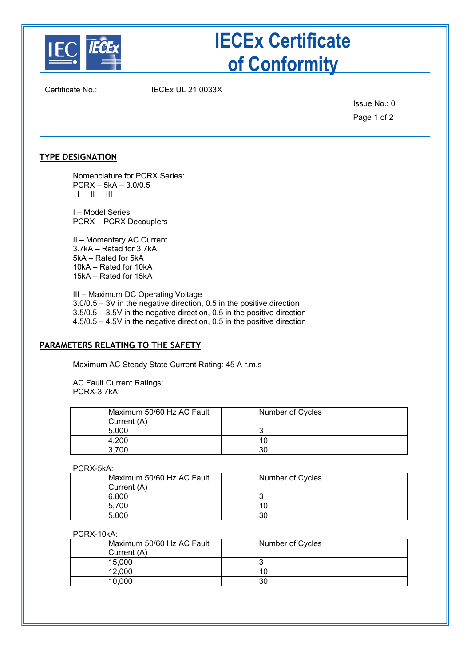

# **IECEx Certificate of Conformity**

Certificate No.: IECEx UL 21.0033X

Issue No.: 0 Page 1 of 2

## **TYPE DESIGNATION**

Nomenclature for PCRX Series: PCRX – 5kA – 3.0/0.5 I II III

I – Model Series PCRX – PCRX Decouplers

II – Momentary AC Current 3.7kA – Rated for 3.7kA 5kA – Rated for 5kA 10kA – Rated for 10kA 15kA – Rated for 15kA

III – Maximum DC Operating Voltage 3.0/0.5 – 3V in the negative direction, 0.5 in the positive direction 3.5/0.5 – 3.5V in the negative direction, 0.5 in the positive direction 4.5/0.5 – 4.5V in the negative direction, 0.5 in the positive direction

## **PARAMETERS RELATING TO THE SAFETY**

Maximum AC Steady State Current Rating: 45 A r.m.s

AC Fault Current Ratings: PCRX-3.7kA:

| Maximum 50/60 Hz AC Fault<br>Current (A) | Number of Cycles |
|------------------------------------------|------------------|
| 5.000                                    |                  |
|                                          |                  |
|                                          |                  |

PCRX-5kA:

| Maximum 50/60 Hz AC Fault | Number of Cycles |
|---------------------------|------------------|
| Current (A)               |                  |
| 6.800                     |                  |
| 5.700                     |                  |
|                           | 30               |

### PCRX-10kA:

| Maximum 50/60 Hz AC Fault<br>Current (A) | Number of Cycles |
|------------------------------------------|------------------|
| 15.000                                   |                  |
| 12.000                                   |                  |
| 10.000                                   |                  |